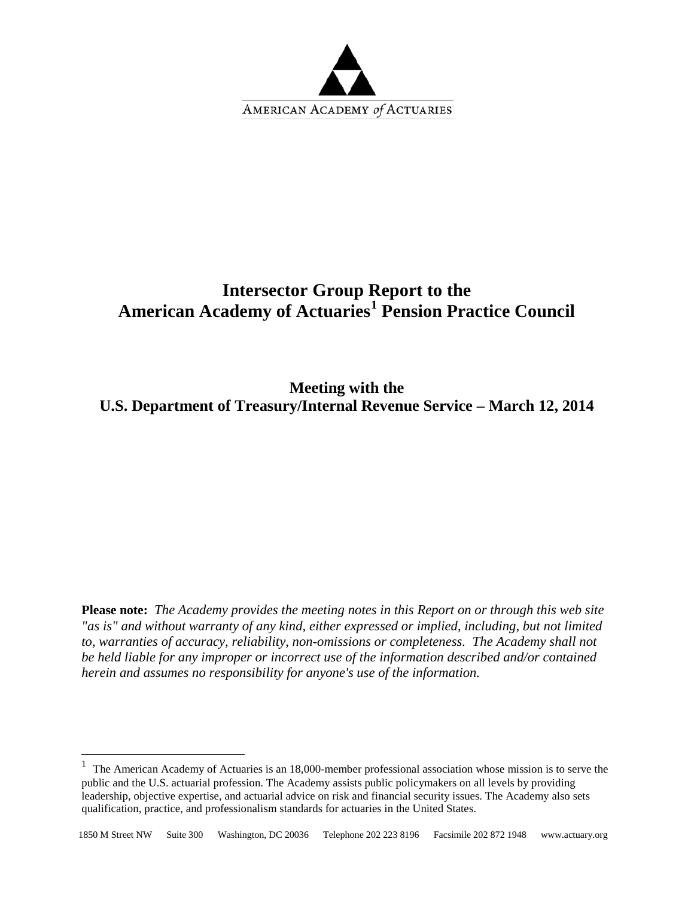

# **Intersector Group Report to the American Academy of Actuaries[1](#page-0-0) Pension Practice Council**

**Meeting with the U.S. Department of Treasury/Internal Revenue Service – March 12, 2014**

**Please note:** *The Academy provides the meeting notes in this Report on or through this web site "as is" and without warranty of any kind, either expressed or implied, including, but not limited to, warranties of accuracy, reliability, non-omissions or completeness. The Academy shall not be held liable for any improper or incorrect use of the information described and/or contained herein and assumes no responsibility for anyone's use of the information.*

<span id="page-0-0"></span><sup>&</sup>lt;sup>1</sup> The American Academy of Actuaries is an 18,000-member professional association whose mission is to serve the public and the U.S. actuarial profession. The Academy assists public policymakers on all levels by providing leadership, objective expertise, and actuarial advice on risk and financial security issues. The Academy also sets qualification, practice, and professionalism standards for actuaries in the United States.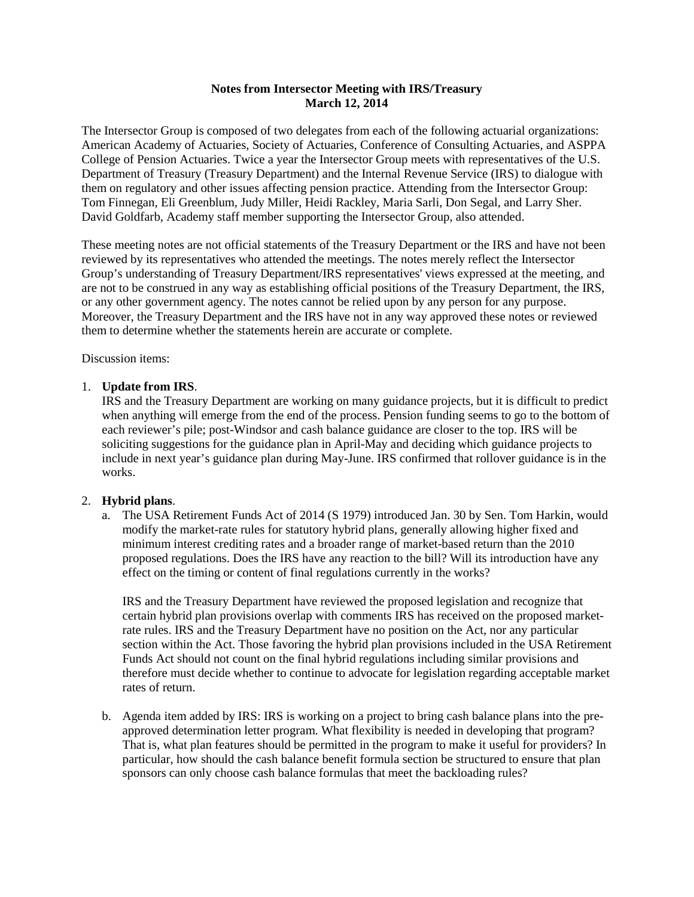### **Notes from Intersector Meeting with IRS/Treasury March 12, 2014**

The Intersector Group is composed of two delegates from each of the following actuarial organizations: American Academy of Actuaries, Society of Actuaries, Conference of Consulting Actuaries, and ASPPA College of Pension Actuaries. Twice a year the Intersector Group meets with representatives of the U.S. Department of Treasury (Treasury Department) and the Internal Revenue Service (IRS) to dialogue with them on regulatory and other issues affecting pension practice. Attending from the Intersector Group: Tom Finnegan, Eli Greenblum, Judy Miller, Heidi Rackley, Maria Sarli, Don Segal, and Larry Sher. David Goldfarb, Academy staff member supporting the Intersector Group, also attended.

These meeting notes are not official statements of the Treasury Department or the IRS and have not been reviewed by its representatives who attended the meetings. The notes merely reflect the Intersector Group's understanding of Treasury Department/IRS representatives' views expressed at the meeting, and are not to be construed in any way as establishing official positions of the Treasury Department, the IRS, or any other government agency. The notes cannot be relied upon by any person for any purpose. Moreover, the Treasury Department and the IRS have not in any way approved these notes or reviewed them to determine whether the statements herein are accurate or complete.

Discussion items:

## 1. **Update from IRS**.

IRS and the Treasury Department are working on many guidance projects, but it is difficult to predict when anything will emerge from the end of the process. Pension funding seems to go to the bottom of each reviewer's pile; post-Windsor and cash balance guidance are closer to the top. IRS will be soliciting suggestions for the guidance plan in April-May and deciding which guidance projects to include in next year's guidance plan during May-June. IRS confirmed that rollover guidance is in the works.

## 2. **Hybrid plans**.

a. The USA Retirement Funds Act of 2014 (S 1979) introduced Jan. 30 by Sen. Tom Harkin, would modify the market-rate rules for statutory hybrid plans, generally allowing higher fixed and minimum interest crediting rates and a broader range of market-based return than the 2010 proposed regulations. Does the IRS have any reaction to the bill? Will its introduction have any effect on the timing or content of final regulations currently in the works?

IRS and the Treasury Department have reviewed the proposed legislation and recognize that certain hybrid plan provisions overlap with comments IRS has received on the proposed marketrate rules. IRS and the Treasury Department have no position on the Act, nor any particular section within the Act. Those favoring the hybrid plan provisions included in the USA Retirement Funds Act should not count on the final hybrid regulations including similar provisions and therefore must decide whether to continue to advocate for legislation regarding acceptable market rates of return.

b. Agenda item added by IRS: IRS is working on a project to bring cash balance plans into the preapproved determination letter program. What flexibility is needed in developing that program? That is, what plan features should be permitted in the program to make it useful for providers? In particular, how should the cash balance benefit formula section be structured to ensure that plan sponsors can only choose cash balance formulas that meet the backloading rules?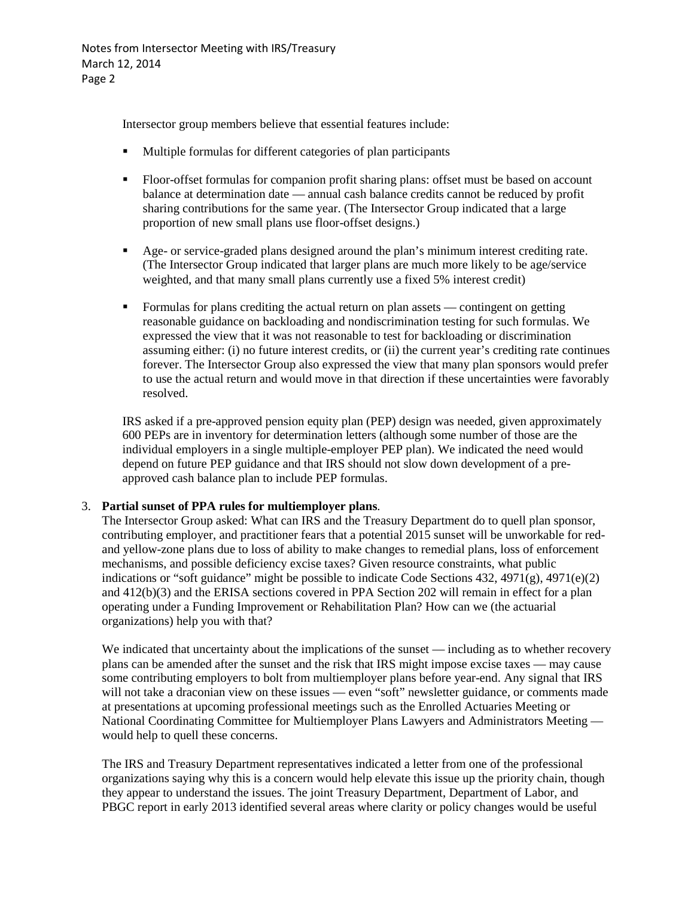Notes from Intersector Meeting with IRS/Treasury March 12, 2014 Page 2

Intersector group members believe that essential features include:

- Multiple formulas for different categories of plan participants
- Floor-offset formulas for companion profit sharing plans: offset must be based on account balance at determination date — annual cash balance credits cannot be reduced by profit sharing contributions for the same year. (The Intersector Group indicated that a large proportion of new small plans use floor-offset designs.)
- Age- or service-graded plans designed around the plan's minimum interest crediting rate. (The Intersector Group indicated that larger plans are much more likely to be age/service weighted, and that many small plans currently use a fixed 5% interest credit)
- Formulas for plans crediting the actual return on plan assets contingent on getting reasonable guidance on backloading and nondiscrimination testing for such formulas. We expressed the view that it was not reasonable to test for backloading or discrimination assuming either: (i) no future interest credits, or (ii) the current year's crediting rate continues forever. The Intersector Group also expressed the view that many plan sponsors would prefer to use the actual return and would move in that direction if these uncertainties were favorably resolved.

IRS asked if a pre-approved pension equity plan (PEP) design was needed, given approximately 600 PEPs are in inventory for determination letters (although some number of those are the individual employers in a single multiple-employer PEP plan). We indicated the need would depend on future PEP guidance and that IRS should not slow down development of a preapproved cash balance plan to include PEP formulas.

## 3. **Partial sunset of PPA rules for multiemployer plans**.

The Intersector Group asked: What can IRS and the Treasury Department do to quell plan sponsor, contributing employer, and practitioner fears that a potential 2015 sunset will be unworkable for redand yellow-zone plans due to loss of ability to make changes to remedial plans, loss of enforcement mechanisms, and possible deficiency excise taxes? Given resource constraints, what public indications or "soft guidance" might be possible to indicate Code Sections 432, 4971(g), 4971(e)(2) and 412(b)(3) and the ERISA sections covered in PPA Section 202 will remain in effect for a plan operating under a Funding Improvement or Rehabilitation Plan? How can we (the actuarial organizations) help you with that?

We indicated that uncertainty about the implications of the sunset — including as to whether recovery plans can be amended after the sunset and the risk that IRS might impose excise taxes — may cause some contributing employers to bolt from multiemployer plans before year-end. Any signal that IRS will not take a draconian view on these issues — even "soft" newsletter guidance, or comments made at presentations at upcoming professional meetings such as the Enrolled Actuaries Meeting or National Coordinating Committee for Multiemployer Plans Lawyers and Administrators Meeting would help to quell these concerns.

The IRS and Treasury Department representatives indicated a letter from one of the professional organizations saying why this is a concern would help elevate this issue up the priority chain, though they appear to understand the issues. The joint Treasury Department, Department of Labor, and PBGC report in early 2013 identified several areas where clarity or policy changes would be useful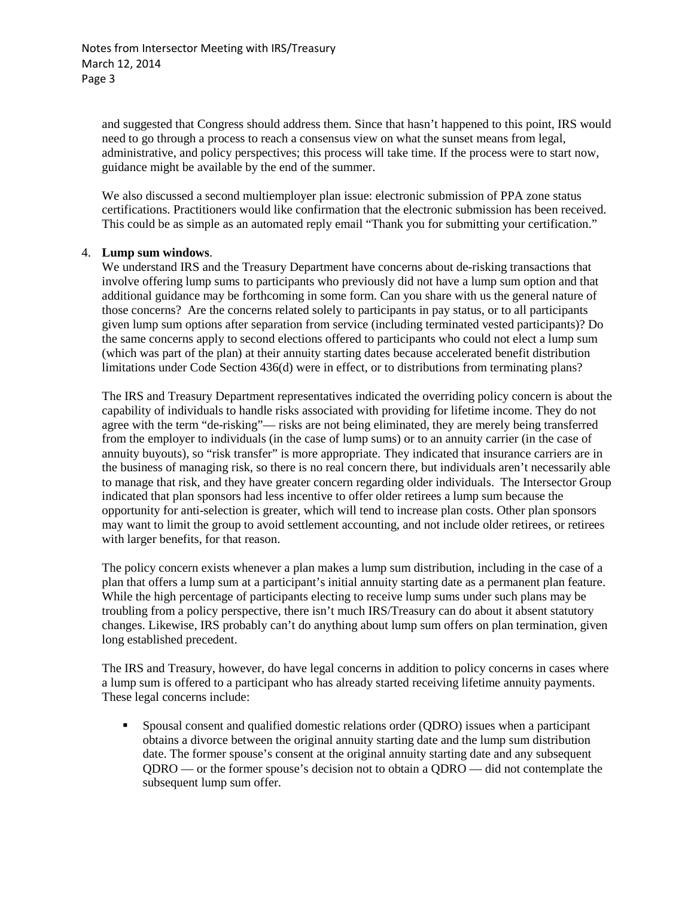and suggested that Congress should address them. Since that hasn't happened to this point, IRS would need to go through a process to reach a consensus view on what the sunset means from legal, administrative, and policy perspectives; this process will take time. If the process were to start now, guidance might be available by the end of the summer.

We also discussed a second multiemployer plan issue: electronic submission of PPA zone status certifications. Practitioners would like confirmation that the electronic submission has been received. This could be as simple as an automated reply email "Thank you for submitting your certification."

#### 4. **Lump sum windows**.

We understand IRS and the Treasury Department have concerns about de-risking transactions that involve offering lump sums to participants who previously did not have a lump sum option and that additional guidance may be forthcoming in some form. Can you share with us the general nature of those concerns? Are the concerns related solely to participants in pay status, or to all participants given lump sum options after separation from service (including terminated vested participants)? Do the same concerns apply to second elections offered to participants who could not elect a lump sum (which was part of the plan) at their annuity starting dates because accelerated benefit distribution limitations under Code Section 436(d) were in effect, or to distributions from terminating plans?

The IRS and Treasury Department representatives indicated the overriding policy concern is about the capability of individuals to handle risks associated with providing for lifetime income. They do not agree with the term "de-risking"— risks are not being eliminated, they are merely being transferred from the employer to individuals (in the case of lump sums) or to an annuity carrier (in the case of annuity buyouts), so "risk transfer" is more appropriate. They indicated that insurance carriers are in the business of managing risk, so there is no real concern there, but individuals aren't necessarily able to manage that risk, and they have greater concern regarding older individuals. The Intersector Group indicated that plan sponsors had less incentive to offer older retirees a lump sum because the opportunity for anti-selection is greater, which will tend to increase plan costs. Other plan sponsors may want to limit the group to avoid settlement accounting, and not include older retirees, or retirees with larger benefits, for that reason.

The policy concern exists whenever a plan makes a lump sum distribution, including in the case of a plan that offers a lump sum at a participant's initial annuity starting date as a permanent plan feature. While the high percentage of participants electing to receive lump sums under such plans may be troubling from a policy perspective, there isn't much IRS/Treasury can do about it absent statutory changes. Likewise, IRS probably can't do anything about lump sum offers on plan termination, given long established precedent.

The IRS and Treasury, however, do have legal concerns in addition to policy concerns in cases where a lump sum is offered to a participant who has already started receiving lifetime annuity payments. These legal concerns include:

 Spousal consent and qualified domestic relations order (QDRO) issues when a participant obtains a divorce between the original annuity starting date and the lump sum distribution date. The former spouse's consent at the original annuity starting date and any subsequent QDRO — or the former spouse's decision not to obtain a QDRO — did not contemplate the subsequent lump sum offer.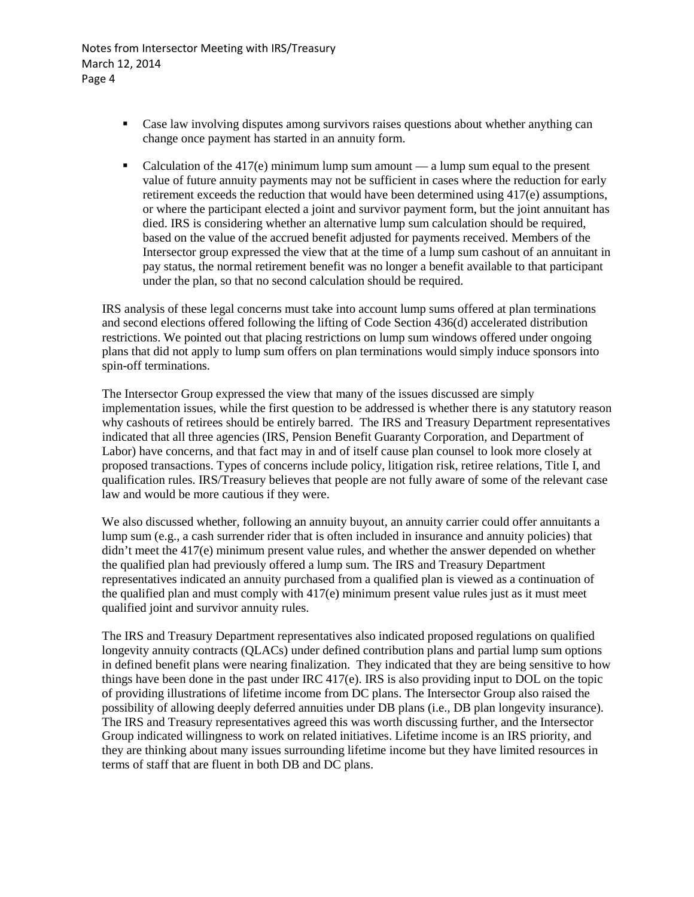Notes from Intersector Meeting with IRS/Treasury March 12, 2014 Page 4

- Case law involving disputes among survivors raises questions about whether anything can change once payment has started in an annuity form.
- Calculation of the  $417(e)$  minimum lump sum amount a lump sum equal to the present value of future annuity payments may not be sufficient in cases where the reduction for early retirement exceeds the reduction that would have been determined using 417(e) assumptions, or where the participant elected a joint and survivor payment form, but the joint annuitant has died. IRS is considering whether an alternative lump sum calculation should be required, based on the value of the accrued benefit adjusted for payments received. Members of the Intersector group expressed the view that at the time of a lump sum cashout of an annuitant in pay status, the normal retirement benefit was no longer a benefit available to that participant under the plan, so that no second calculation should be required.

IRS analysis of these legal concerns must take into account lump sums offered at plan terminations and second elections offered following the lifting of Code Section 436(d) accelerated distribution restrictions. We pointed out that placing restrictions on lump sum windows offered under ongoing plans that did not apply to lump sum offers on plan terminations would simply induce sponsors into spin-off terminations.

The Intersector Group expressed the view that many of the issues discussed are simply implementation issues, while the first question to be addressed is whether there is any statutory reason why cashouts of retirees should be entirely barred. The IRS and Treasury Department representatives indicated that all three agencies (IRS, Pension Benefit Guaranty Corporation, and Department of Labor) have concerns, and that fact may in and of itself cause plan counsel to look more closely at proposed transactions. Types of concerns include policy, litigation risk, retiree relations, Title I, and qualification rules. IRS/Treasury believes that people are not fully aware of some of the relevant case law and would be more cautious if they were.

We also discussed whether, following an annuity buyout, an annuity carrier could offer annuitants a lump sum (e.g., a cash surrender rider that is often included in insurance and annuity policies) that didn't meet the 417(e) minimum present value rules, and whether the answer depended on whether the qualified plan had previously offered a lump sum. The IRS and Treasury Department representatives indicated an annuity purchased from a qualified plan is viewed as a continuation of the qualified plan and must comply with  $417(e)$  minimum present value rules just as it must meet qualified joint and survivor annuity rules.

The IRS and Treasury Department representatives also indicated proposed regulations on qualified longevity annuity contracts (QLACs) under defined contribution plans and partial lump sum options in defined benefit plans were nearing finalization. They indicated that they are being sensitive to how things have been done in the past under IRC 417(e). IRS is also providing input to DOL on the topic of providing illustrations of lifetime income from DC plans. The Intersector Group also raised the possibility of allowing deeply deferred annuities under DB plans (i.e., DB plan longevity insurance). The IRS and Treasury representatives agreed this was worth discussing further, and the Intersector Group indicated willingness to work on related initiatives. Lifetime income is an IRS priority, and they are thinking about many issues surrounding lifetime income but they have limited resources in terms of staff that are fluent in both DB and DC plans.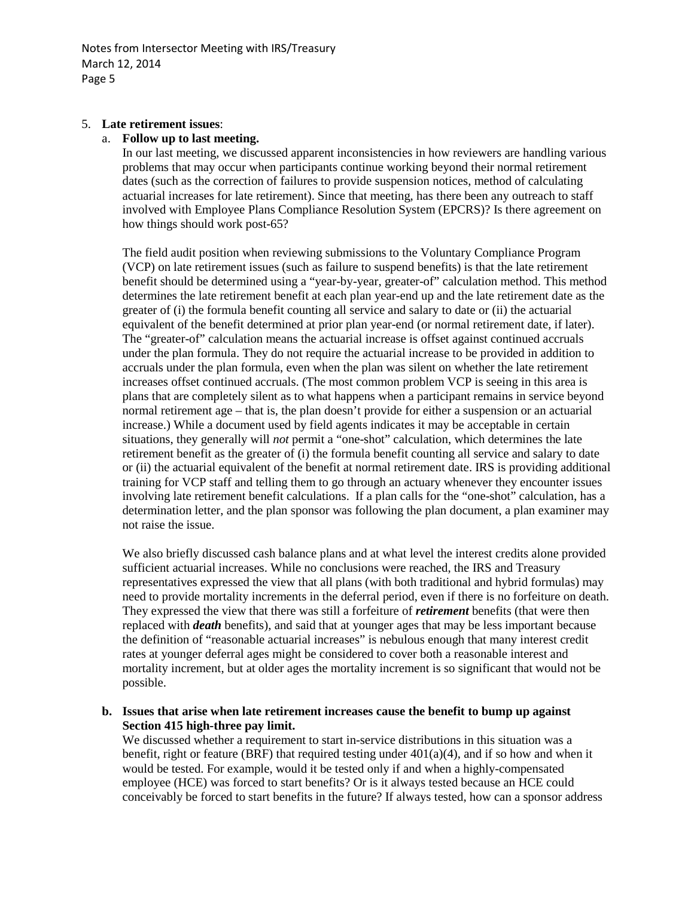Notes from Intersector Meeting with IRS/Treasury March 12, 2014 Page 5

#### 5. **Late retirement issues**:

#### a. **Follow up to last meeting.**

In our last meeting, we discussed apparent inconsistencies in how reviewers are handling various problems that may occur when participants continue working beyond their normal retirement dates (such as the correction of failures to provide suspension notices, method of calculating actuarial increases for late retirement). Since that meeting, has there been any outreach to staff involved with Employee Plans Compliance Resolution System (EPCRS)? Is there agreement on how things should work post-65?

The field audit position when reviewing submissions to the Voluntary Compliance Program (VCP) on late retirement issues (such as failure to suspend benefits) is that the late retirement benefit should be determined using a "year-by-year, greater-of" calculation method. This method determines the late retirement benefit at each plan year-end up and the late retirement date as the greater of (i) the formula benefit counting all service and salary to date or (ii) the actuarial equivalent of the benefit determined at prior plan year-end (or normal retirement date, if later). The "greater-of" calculation means the actuarial increase is offset against continued accruals under the plan formula. They do not require the actuarial increase to be provided in addition to accruals under the plan formula, even when the plan was silent on whether the late retirement increases offset continued accruals. (The most common problem VCP is seeing in this area is plans that are completely silent as to what happens when a participant remains in service beyond normal retirement age – that is, the plan doesn't provide for either a suspension or an actuarial increase.) While a document used by field agents indicates it may be acceptable in certain situations, they generally will *not* permit a "one-shot" calculation, which determines the late retirement benefit as the greater of (i) the formula benefit counting all service and salary to date or (ii) the actuarial equivalent of the benefit at normal retirement date. IRS is providing additional training for VCP staff and telling them to go through an actuary whenever they encounter issues involving late retirement benefit calculations. If a plan calls for the "one-shot" calculation, has a determination letter, and the plan sponsor was following the plan document, a plan examiner may not raise the issue.

We also briefly discussed cash balance plans and at what level the interest credits alone provided sufficient actuarial increases. While no conclusions were reached, the IRS and Treasury representatives expressed the view that all plans (with both traditional and hybrid formulas) may need to provide mortality increments in the deferral period, even if there is no forfeiture on death. They expressed the view that there was still a forfeiture of *retirement* benefits (that were then replaced with *death* benefits), and said that at younger ages that may be less important because the definition of "reasonable actuarial increases" is nebulous enough that many interest credit rates at younger deferral ages might be considered to cover both a reasonable interest and mortality increment, but at older ages the mortality increment is so significant that would not be possible.

## **b. Issues that arise when late retirement increases cause the benefit to bump up against Section 415 high-three pay limit.**

We discussed whether a requirement to start in-service distributions in this situation was a benefit, right or feature (BRF) that required testing under  $401(a)(4)$ , and if so how and when it would be tested. For example, would it be tested only if and when a highly-compensated employee (HCE) was forced to start benefits? Or is it always tested because an HCE could conceivably be forced to start benefits in the future? If always tested, how can a sponsor address